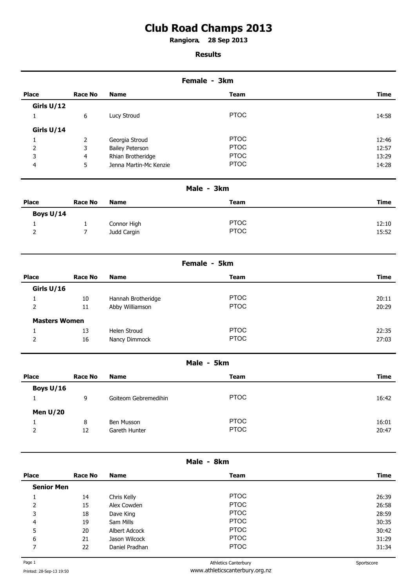## **Club Road Champs 2013**

**Rangiora 28 Sep 2013 .** 

## **Results**

| Female - 3km |                |                        |             |             |
|--------------|----------------|------------------------|-------------|-------------|
| <b>Place</b> | <b>Race No</b> | <b>Name</b>            | <b>Team</b> | <b>Time</b> |
| Girls U/12   |                |                        |             |             |
|              | 6              | Lucy Stroud            | <b>PTOC</b> | 14:58       |
| Girls U/14   |                |                        |             |             |
|              | 2              | Georgia Stroud         | <b>PTOC</b> | 12:46       |
| 2            | 3              | <b>Bailey Peterson</b> | <b>PTOC</b> | 12:57       |
| 3            | $\overline{4}$ | Rhian Brotheridge      | <b>PTOC</b> | 13:29       |
| 4            | 5              | Jenna Martin-Mc Kenzie | <b>PTOC</b> | 14:28       |

| Male - 3km   |                |             |             |       |
|--------------|----------------|-------------|-------------|-------|
| <b>Place</b> | <b>Race No</b> | <b>Name</b> | <b>Team</b> | Time  |
| Boys U/14    |                |             |             |       |
|              |                | Connor High | <b>PTOC</b> | 12:10 |
| 2            |                | Judd Cargin | <b>PTOC</b> | 15:52 |

| Female - 5km   |                      |                    |             |             |
|----------------|----------------------|--------------------|-------------|-------------|
| <b>Place</b>   | Race No              | <b>Name</b>        | <b>Team</b> | <b>Time</b> |
| Girls U/16     |                      |                    |             |             |
|                | 10                   | Hannah Brotheridge | <b>PTOC</b> | 20:11       |
| 2              | 11                   | Abby Williamson    | <b>PTOC</b> | 20:29       |
|                | <b>Masters Women</b> |                    |             |             |
|                | 13                   | Helen Stroud       | <b>PTOC</b> | 22:35       |
| $\overline{2}$ | 16                   | Nancy Dimmock      | <b>PTOC</b> | 27:03       |

| Male - 5km   |                |                      |             |             |
|--------------|----------------|----------------------|-------------|-------------|
| <b>Place</b> | <b>Race No</b> | <b>Name</b>          | <b>Team</b> | <b>Time</b> |
| Boys U/16    |                |                      |             |             |
|              | 9              | Goiteom Gebremedihin | <b>PTOC</b> | 16:42       |
| Men $U/20$   |                |                      |             |             |
|              | 8              | Ben Musson           | <b>PTOC</b> | 16:01       |
| 2            | 12             | Gareth Hunter        | <b>PTOC</b> | 20:47       |

| Male - 8km        |         |                |             |             |
|-------------------|---------|----------------|-------------|-------------|
| <b>Place</b>      | Race No | <b>Name</b>    | <b>Team</b> | <b>Time</b> |
| <b>Senior Men</b> |         |                |             |             |
|                   | 14      | Chris Kelly    | <b>PTOC</b> | 26:39       |
| 2                 | 15      | Alex Cowden    | <b>PTOC</b> | 26:58       |
| 3                 | 18      | Dave King      | <b>PTOC</b> | 28:59       |
| 4                 | 19      | Sam Mills      | <b>PTOC</b> | 30:35       |
| 5                 | 20      | Albert Adcock  | <b>PTOC</b> | 30:42       |
| 6                 | 21      | Jason Wilcock  | <b>PTOC</b> | 31:29       |
| ⇁                 | 22      | Daniel Pradhan | <b>PTOC</b> | 31:34       |